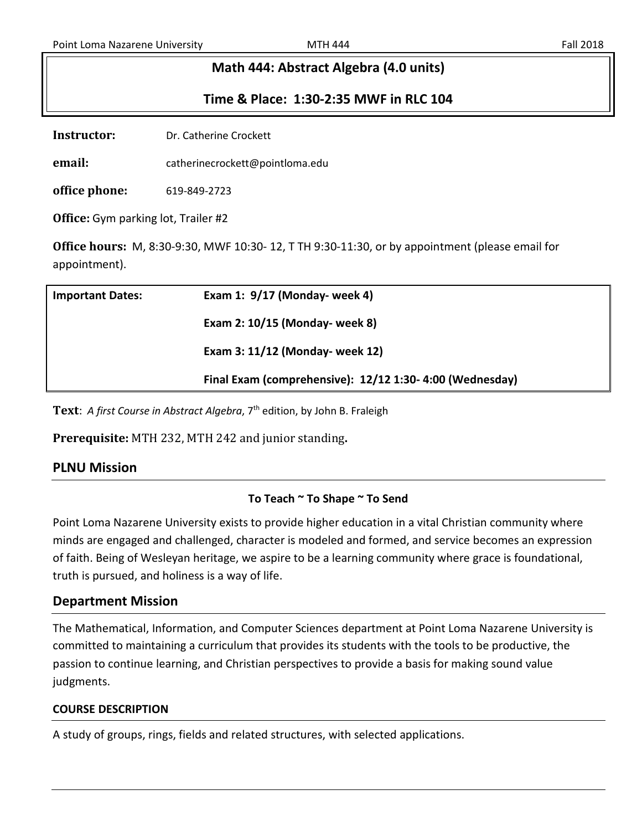# **Math 444: Abstract Algebra (4.0 units)**

## **Time & Place: 1:30-2:35 MWF in RLC 104**

**Instructor:** Dr. Catherine Crockett

**email:** catherinecrockett@pointloma.edu

**office phone:** 619-849-2723

**Office:** Gym parking lot, Trailer #2

**Office hours:** M, 8:30-9:30, MWF 10:30- 12, T TH 9:30-11:30, or by appointment (please email for appointment).

| <b>Important Dates:</b> | Exam 1: 9/17 (Monday- week 4)                            |
|-------------------------|----------------------------------------------------------|
|                         | Exam 2: 10/15 (Monday- week 8)                           |
|                         | Exam 3: 11/12 (Monday- week 12)                          |
|                         | Final Exam (comprehensive): 12/12 1:30- 4:00 (Wednesday) |

Text: *A first Course in Abstract Algebra*, 7<sup>th</sup> edition, by John B. Fraleigh

**Prerequisite:** MTH 232, MTH 242 and junior standing**.**

## **PLNU Mission**

#### **To Teach ~ To Shape ~ To Send**

Point Loma Nazarene University exists to provide higher education in a vital Christian community where minds are engaged and challenged, character is modeled and formed, and service becomes an expression of faith. Being of Wesleyan heritage, we aspire to be a learning community where grace is foundational, truth is pursued, and holiness is a way of life.

## **Department Mission**

The Mathematical, Information, and Computer Sciences department at Point Loma Nazarene University is committed to maintaining a curriculum that provides its students with the tools to be productive, the passion to continue learning, and Christian perspectives to provide a basis for making sound value judgments.

#### **COURSE DESCRIPTION**

A study of groups, rings, fields and related structures, with selected applications.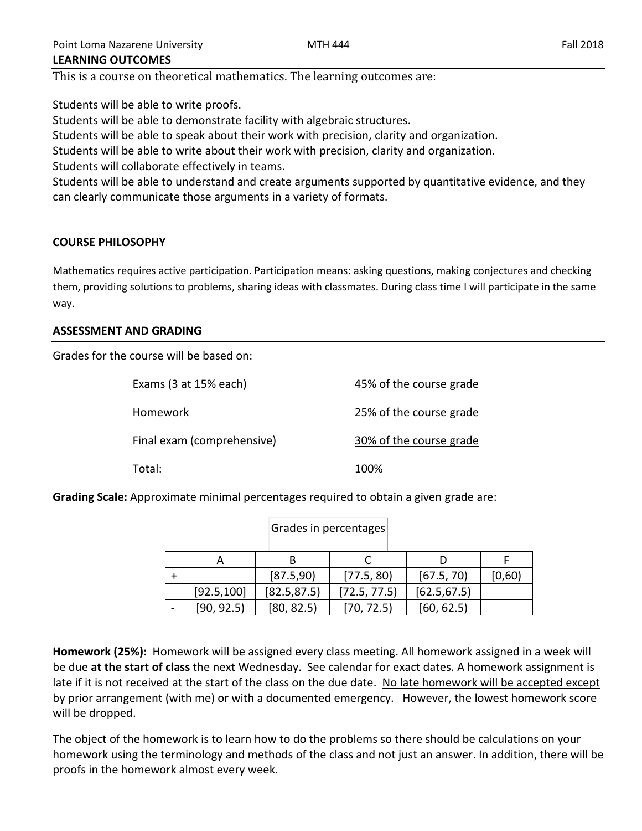This is a course on theoretical mathematics. The learning outcomes are:

Students will be able to write proofs. Students will be able to demonstrate facility with algebraic structures. Students will be able to speak about their work with precision, clarity and organization. Students will be able to write about their work with precision, clarity and organization. Students will collaborate effectively in teams. Students will be able to understand and create arguments supported by quantitative evidence, and they can clearly communicate those arguments in a variety of formats.

# **COURSE PHILOSOPHY**

Mathematics requires active participation. Participation means: asking questions, making conjectures and checking them, providing solutions to problems, sharing ideas with classmates. During class time I will participate in the same way.

# **ASSESSMENT AND GRADING**

Grades for the course will be based on:

| Exams (3 at 15% each)      | 45% of the course grade |
|----------------------------|-------------------------|
| Homework                   | 25% of the course grade |
| Final exam (comprehensive) | 30% of the course grade |
| Total:                     | 100%                    |

**Grading Scale:** Approximate minimal percentages required to obtain a given grade are:

|             | Grades in percentages |              |              |        |
|-------------|-----------------------|--------------|--------------|--------|
|             | В                     |              |              |        |
|             | [87.5,90]             | [77.5, 80]   | [67.5, 70]   | [0,60) |
| [92.5, 100] | [82.5, 87.5]          | [72.5, 77.5] | [62.5, 67.5] |        |
| [90, 92.5]  | [80, 82.5]            | [70, 72.5]   | [60, 62.5]   |        |

**Homework (25%):** Homework will be assigned every class meeting. All homework assigned in a week will be due **at the start of class** the next Wednesday. See calendar for exact dates. A homework assignment is late if it is not received at the start of the class on the due date. No late homework will be accepted except by prior arrangement (with me) or with a documented emergency. However, the lowest homework score will be dropped.

The object of the homework is to learn how to do the problems so there should be calculations on your homework using the terminology and methods of the class and not just an answer. In addition, there will be proofs in the homework almost every week.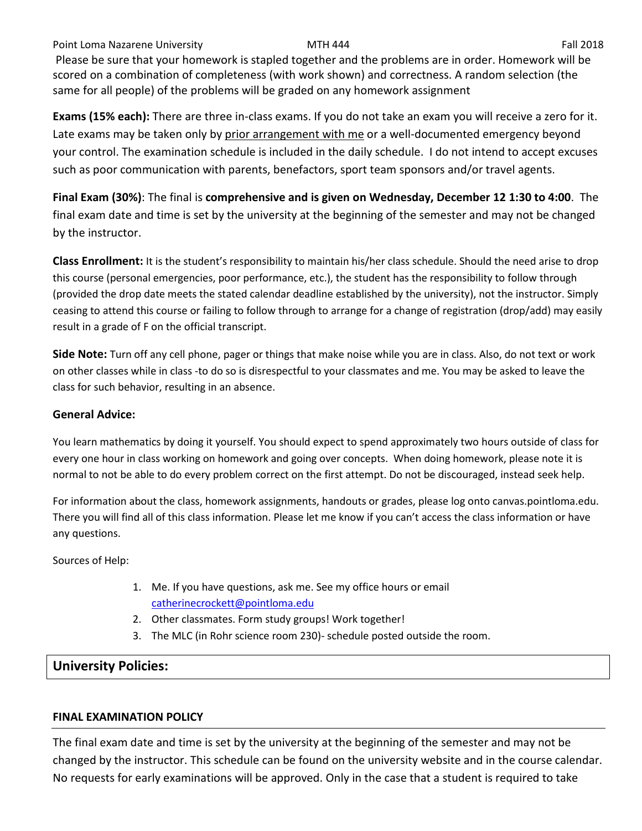Point Loma Nazarene University **MTH 444** Fall 2018

Please be sure that your homework is stapled together and the problems are in order. Homework will be scored on a combination of completeness (with work shown) and correctness. A random selection (the same for all people) of the problems will be graded on any homework assignment

**Exams (15% each):** There are three in-class exams. If you do not take an exam you will receive a zero for it. Late exams may be taken only by prior arrangement with me or a well-documented emergency beyond your control. The examination schedule is included in the daily schedule. I do not intend to accept excuses such as poor communication with parents, benefactors, sport team sponsors and/or travel agents.

**Final Exam (30%)**: The final is **comprehensive and is given on Wednesday, December 12 1:30 to 4:00**. The final exam date and time is set by the university at the beginning of the semester and may not be changed by the instructor.

**Class Enrollment:** It is the student's responsibility to maintain his/her class schedule. Should the need arise to drop this course (personal emergencies, poor performance, etc.), the student has the responsibility to follow through (provided the drop date meets the stated calendar deadline established by the university), not the instructor. Simply ceasing to attend this course or failing to follow through to arrange for a change of registration (drop/add) may easily result in a grade of F on the official transcript.

**Side Note:** Turn off any cell phone, pager or things that make noise while you are in class. Also, do not text or work on other classes while in class -to do so is disrespectful to your classmates and me. You may be asked to leave the class for such behavior, resulting in an absence.

#### **General Advice:**

You learn mathematics by doing it yourself. You should expect to spend approximately two hours outside of class for every one hour in class working on homework and going over concepts. When doing homework, please note it is normal to not be able to do every problem correct on the first attempt. Do not be discouraged, instead seek help.

For information about the class, homework assignments, handouts or grades, please log onto canvas.pointloma.edu. There you will find all of this class information. Please let me know if you can't access the class information or have any questions.

Sources of Help:

- 1. Me. If you have questions, ask me. See my office hours or email [catherinecrockett@pointloma.edu](mailto:catherinecrockett@pointloma.edu)
- 2. Other classmates. Form study groups! Work together!
- 3. The MLC (in Rohr science room 230)- schedule posted outside the room.

# **University Policies:**

## **FINAL EXAMINATION POLICY**

The final exam date and time is set by the university at the beginning of the semester and may not be changed by the instructor. This schedule can be found on the university website and in the course calendar. No requests for early examinations will be approved. Only in the case that a student is required to take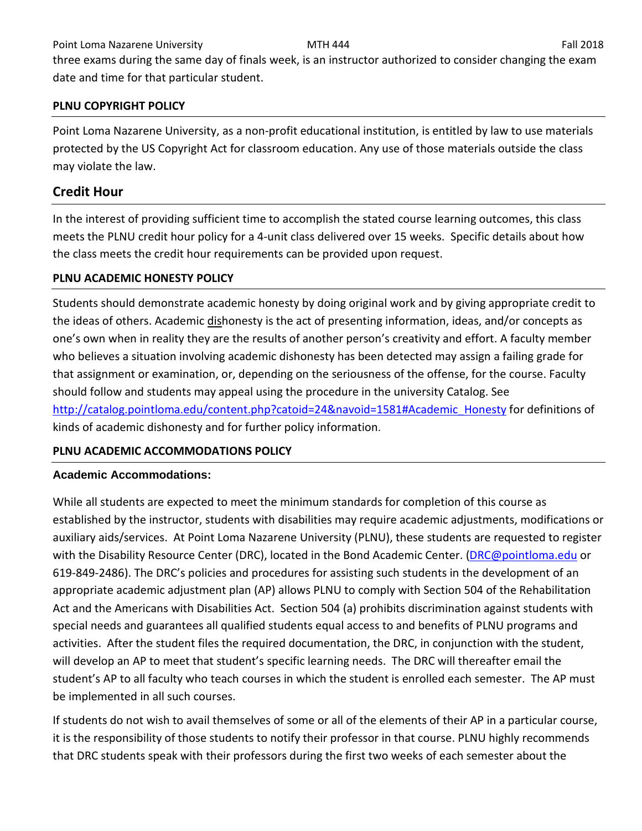Point Loma Nazarene University **MTH 444** MTH 444 **Fall 2018** Fall 2018

three exams during the same day of finals week, is an instructor authorized to consider changing the exam date and time for that particular student.

## **PLNU COPYRIGHT POLICY**

Point Loma Nazarene University, as a non-profit educational institution, is entitled by law to use materials protected by the US Copyright Act for classroom education. Any use of those materials outside the class may violate the law.

# **Credit Hour**

In the interest of providing sufficient time to accomplish the stated course learning outcomes, this class meets the PLNU credit hour policy for a 4-unit class delivered over 15 weeks. Specific details about how the class meets the credit hour requirements can be provided upon request.

## **PLNU ACADEMIC HONESTY POLICY**

Students should demonstrate academic honesty by doing original work and by giving appropriate credit to the ideas of others. Academic dishonesty is the act of presenting information, ideas, and/or concepts as one's own when in reality they are the results of another person's creativity and effort. A faculty member who believes a situation involving academic dishonesty has been detected may assign a failing grade for that assignment or examination, or, depending on the seriousness of the offense, for the course. Faculty should follow and students may appeal using the procedure in the university Catalog. See [http://catalog.pointloma.edu/content.php?catoid=24&navoid=1581#Academic\\_Honesty](http://catalog.pointloma.edu/content.php?catoid=24&navoid=1581#Academic_Honesty) for definitions of kinds of academic dishonesty and for further policy information.

# **PLNU ACADEMIC ACCOMMODATIONS POLICY**

## **Academic Accommodations:**

While all students are expected to meet the minimum standards for completion of this course as established by the instructor, students with disabilities may require academic adjustments, modifications or auxiliary aids/services. At Point Loma Nazarene University (PLNU), these students are requested to register with the Disability Resource Center (DRC), located in the Bond Academic Center. [\(DRC@pointloma.edu](mailto:DRC@pointloma.edu) or 619-849-2486). The DRC's policies and procedures for assisting such students in the development of an appropriate academic adjustment plan (AP) allows PLNU to comply with Section 504 of the Rehabilitation Act and the Americans with Disabilities Act. Section 504 (a) prohibits discrimination against students with special needs and guarantees all qualified students equal access to and benefits of PLNU programs and activities. After the student files the required documentation, the DRC, in conjunction with the student, will develop an AP to meet that student's specific learning needs. The DRC will thereafter email the student's AP to all faculty who teach courses in which the student is enrolled each semester. The AP must be implemented in all such courses.

If students do not wish to avail themselves of some or all of the elements of their AP in a particular course, it is the responsibility of those students to notify their professor in that course. PLNU highly recommends that DRC students speak with their professors during the first two weeks of each semester about the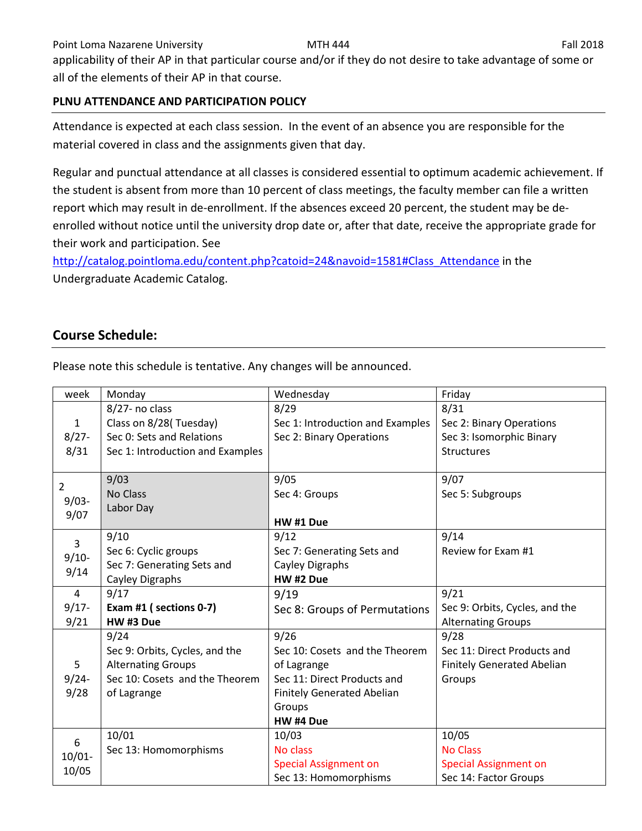applicability of their AP in that particular course and/or if they do not desire to take advantage of some or all of the elements of their AP in that course.

## **PLNU ATTENDANCE AND PARTICIPATION POLICY**

Attendance is expected at each class session. In the event of an absence you are responsible for the material covered in class and the assignments given that day.

Regular and punctual attendance at all classes is considered essential to optimum academic achievement. If the student is absent from more than 10 percent of class meetings, the faculty member can file a written report which may result in de-enrollment. If the absences exceed 20 percent, the student may be deenrolled without notice until the university drop date or, after that date, receive the appropriate grade for their work and participation. See

[http://catalog.pointloma.edu/content.php?catoid=24&navoid=1581#Class\\_Attendance](http://catalog.pointloma.edu/content.php?catoid=24&navoid=1581#Class_Attendance) in the Undergraduate Academic Catalog.

# **Course Schedule:**

| week               | Monday                           | Wednesday                         | Friday                            |
|--------------------|----------------------------------|-----------------------------------|-----------------------------------|
|                    | 8/27- no class                   | 8/29                              | 8/31                              |
| $\mathbf{1}$       | Class on 8/28(Tuesday)           | Sec 1: Introduction and Examples  | Sec 2: Binary Operations          |
| $8/27 -$           | Sec 0: Sets and Relations        | Sec 2: Binary Operations          | Sec 3: Isomorphic Binary          |
| 8/31               | Sec 1: Introduction and Examples |                                   | <b>Structures</b>                 |
|                    |                                  |                                   |                                   |
| $\overline{2}$     | 9/03                             | 9/05                              | 9/07                              |
| $9/03 -$           | No Class                         | Sec 4: Groups                     | Sec 5: Subgroups                  |
| 9/07               | Labor Day                        |                                   |                                   |
|                    |                                  | HW #1 Due                         |                                   |
| $\overline{3}$     | 9/10                             | 9/12                              | 9/14                              |
| $9/10-$            | Sec 6: Cyclic groups             | Sec 7: Generating Sets and        | Review for Exam #1                |
| 9/14               | Sec 7: Generating Sets and       | Cayley Digraphs                   |                                   |
|                    | Cayley Digraphs                  | HW #2 Due                         |                                   |
| $\overline{4}$     | 9/17                             | 9/19                              | 9/21                              |
| $9/17 -$           | Exam #1 (sections 0-7)           | Sec 8: Groups of Permutations     | Sec 9: Orbits, Cycles, and the    |
|                    |                                  |                                   |                                   |
| 9/21               | HW #3 Due                        |                                   | <b>Alternating Groups</b>         |
|                    | 9/24                             | 9/26                              | 9/28                              |
|                    | Sec 9: Orbits, Cycles, and the   | Sec 10: Cosets and the Theorem    | Sec 11: Direct Products and       |
| 5                  | <b>Alternating Groups</b>        | of Lagrange                       | <b>Finitely Generated Abelian</b> |
| $9/24 -$           | Sec 10: Cosets and the Theorem   | Sec 11: Direct Products and       | Groups                            |
| 9/28               | of Lagrange                      | <b>Finitely Generated Abelian</b> |                                   |
|                    |                                  | Groups                            |                                   |
|                    |                                  | HW #4 Due                         |                                   |
|                    | 10/01                            | 10/03                             | 10/05                             |
| 6                  | Sec 13: Homomorphisms            | No class                          | <b>No Class</b>                   |
| $10/01 -$<br>10/05 |                                  | <b>Special Assignment on</b>      | <b>Special Assignment on</b>      |

Please note this schedule is tentative. Any changes will be announced.